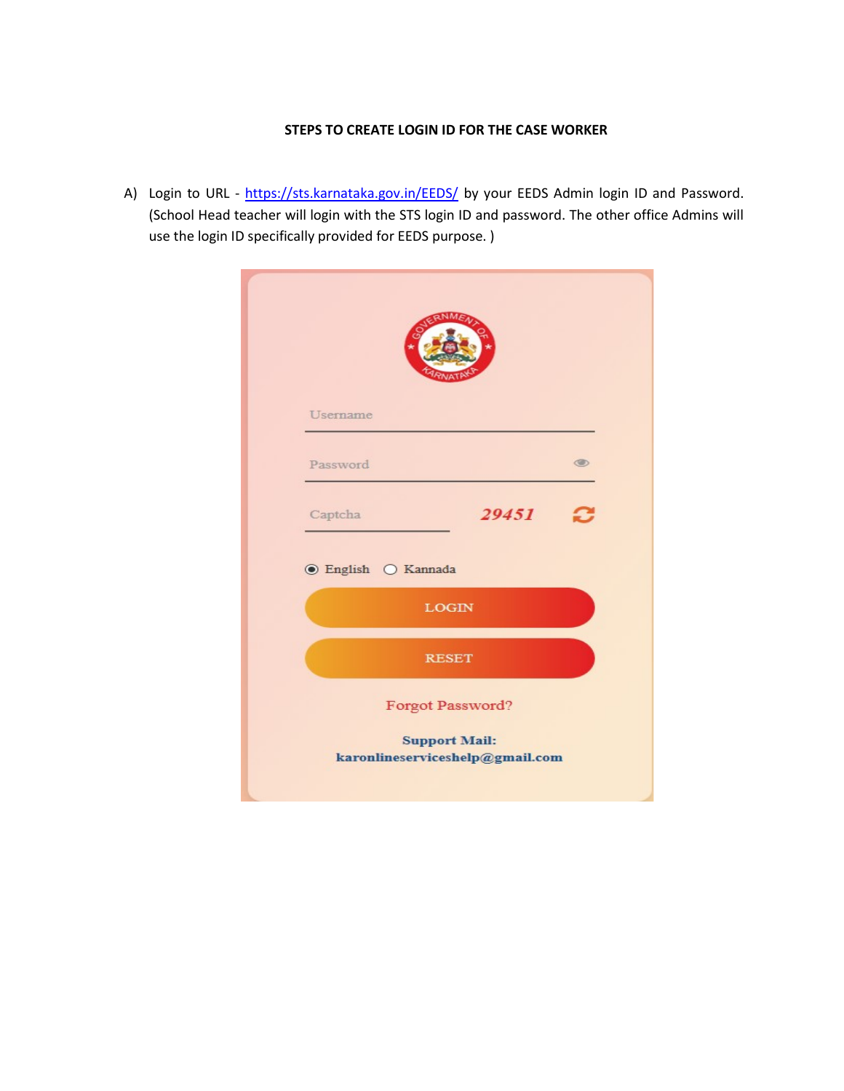### STEPS TO CREATE LOGIN ID FOR THE CASE WORKER

A) Login to URL - https://sts.karnataka.gov.in/EEDS/ by your EEDS Admin login ID and Password. (School Head teacher will login with the STS login ID and password. The other office Admins will use the login ID specifically provided for EEDS purpose. )

| Username                        |                                          |                                 |                |
|---------------------------------|------------------------------------------|---------------------------------|----------------|
| Password                        |                                          |                                 | $\circledcirc$ |
| Captcha                         |                                          | 29451                           |                |
| $\odot$ English $\odot$ Kannada |                                          |                                 |                |
|                                 | <b>LOGIN</b>                             |                                 |                |
|                                 | <b>RESET</b>                             |                                 |                |
|                                 | Forgot Password?<br><b>Support Mail:</b> | karonlineserviceshelp@gmail.com |                |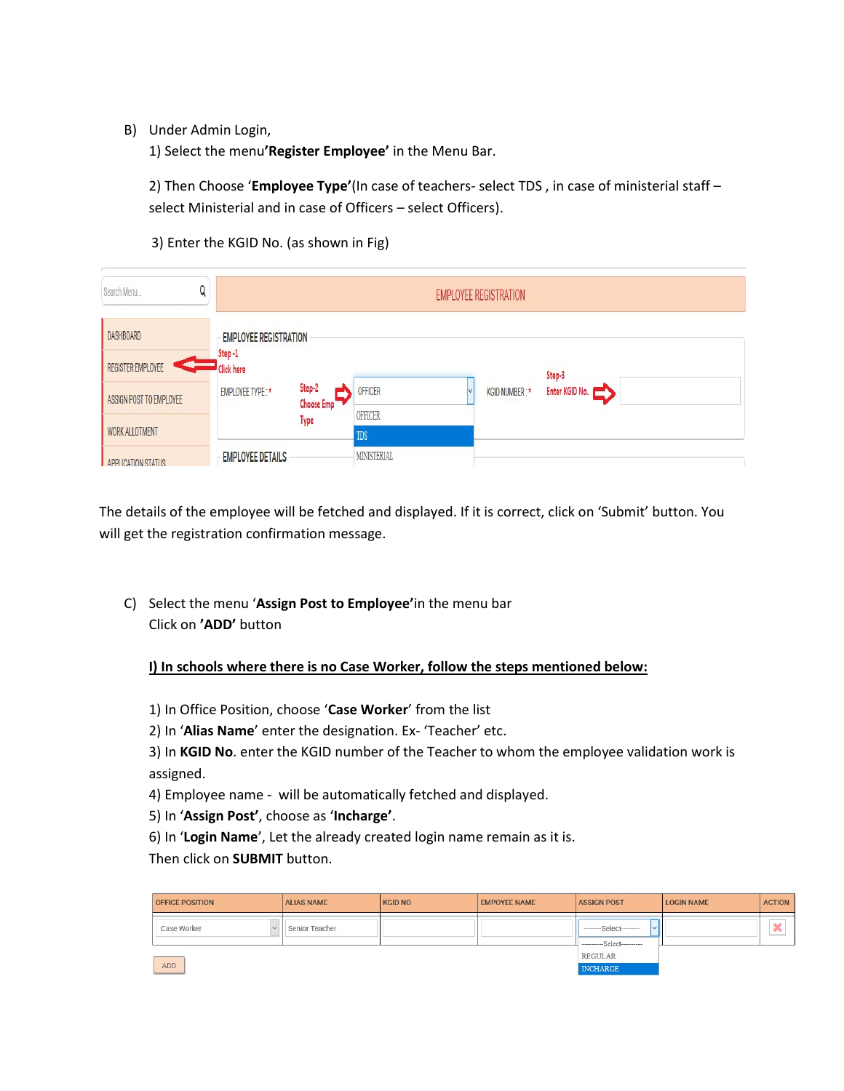B) Under Admin Login,

1) Select the menu'Register Employee' in the Menu Bar.

2) Then Choose 'Employee Type'(In case of teachers- select TDS, in case of ministerial staff select Ministerial and in case of Officers – select Officers).

3) Enter the KGID No. (as shown in Fig)

| Q<br>Search Menu                      |                                                             | <b>EMPLOYEE REGISTRATION</b> |                |               |                |  |  |  |
|---------------------------------------|-------------------------------------------------------------|------------------------------|----------------|---------------|----------------|--|--|--|
| <b>DASHBOARD</b><br>REGISTER EMPLOYEE | <b>EMPLOYEE REGISTRATION</b><br>Step-1<br><b>Click here</b> |                              |                |               | Step-3         |  |  |  |
| ASSIGN POST TO EMPLOYEE               | <b>EMPLOYEE TYPE:*</b>                                      | Step-2<br>Choose Emp         | OFFICER        | KGID NUMBER:* | Enter KGID No. |  |  |  |
| <b>WORK ALLOTMENT</b>                 |                                                             | Type                         | OFFICER<br>TDS |               |                |  |  |  |
| APPLICATION STATLIS                   | <b>EMPLOYEE DETAILS</b>                                     |                              | MINISTERIAL    |               |                |  |  |  |

The details of the employee will be fetched and displayed. If it is correct, click on 'Submit' button. You will get the registration confirmation message.

C) Select the menu 'Assign Post to Employee'in the menu bar Click on 'ADD' button

I) In schools where there is no Case Worker, follow the steps mentioned below:

- 1) In Office Position, choose 'Case Worker' from the list
- 2) In 'Alias Name' enter the designation. Ex- 'Teacher' etc.

3) In KGID No. enter the KGID number of the Teacher to whom the employee validation work is assigned.

4) Employee name - will be automatically fetched and displayed.

5) In 'Assign Post', choose as 'Incharge'.

6) In 'Login Name', Let the already created login name remain as it is.

Then click on SUBMIT button.

| <b>OFFICE POSITION</b> | <b>ALIAS NAME</b>     | <b>KGID NO</b>                    | <b>EMPOYEE NAME</b> | <b>ASSIGN POST</b>                                  | <b>LOGIN NAME</b> | <b>ACTION</b>      |
|------------------------|-----------------------|-----------------------------------|---------------------|-----------------------------------------------------|-------------------|--------------------|
| <b>Case Worker</b>     | <b>Senior Teacher</b> |                                   |                     | $-$ ---------Select---------<br>$\sim$<br>$-Select$ |                   | $\Delta$<br>$\sim$ |
| ADD                    |                       | <b>REGULAR</b><br><b>INCHARGE</b> |                     |                                                     |                   |                    |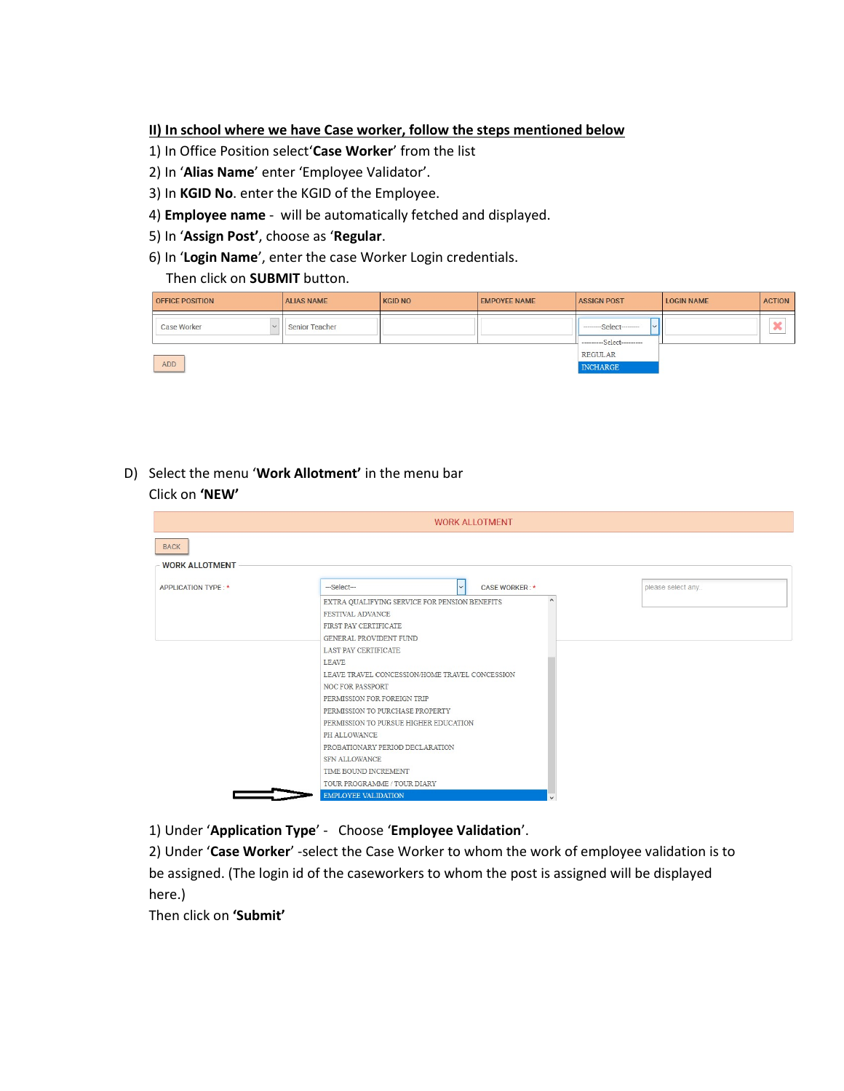#### II) In school where we have Case worker, follow the steps mentioned below

- 1) In Office Position select'Case Worker' from the list
- 2) In 'Alias Name' enter 'Employee Validator'.
- 3) In KGID No. enter the KGID of the Employee.
- 4) Employee name will be automatically fetched and displayed.
- 5) In 'Assign Post', choose as 'Regular.
- 6) In 'Login Name', enter the case Worker Login credentials.

Then click on **SUBMIT** button.

| <b>OFFICE POSITION</b> | <b>ALIAS NAME</b> | <b>KGID NO</b> | <b>EMPOYEE NAME</b> | <b>ASSIGN POST</b>                                                    | <b>LOGIN NAME</b> | <b>ACTION</b> |
|------------------------|-------------------|----------------|---------------------|-----------------------------------------------------------------------|-------------------|---------------|
| Case Worker            | Senior Teacher    |                |                     | - --------Select---------<br>$\checkmark$<br>---------Select--------- |                   | ×             |
|                        |                   | <b>REGULAR</b> |                     |                                                                       |                   |               |
| ADD                    |                   |                |                     | <b>INCHARGE</b>                                                       |                   |               |

#### D) Select the menu 'Work Allotment' in the menu bar Click on 'NEW'

|                       | <b>WORK ALLOTMENT</b>                            |                   |
|-----------------------|--------------------------------------------------|-------------------|
| <b>BACK</b>           |                                                  |                   |
| <b>WORK ALLOTMENT</b> |                                                  |                   |
|                       |                                                  |                   |
| APPLICATION TYPE: *   | --- Select---<br><b>CASE WORKER: *</b><br>$\vee$ | please select any |
|                       | EXTRA QUALIFYING SERVICE FOR PENSION BENEFITS    |                   |
|                       | FESTIVAL ADVANCE                                 |                   |
|                       | FIRST PAY CERTIFICATE                            |                   |
|                       | <b>GENERAL PROVIDENT FUND</b>                    |                   |
|                       | <b>LAST PAY CERTIFICATE</b>                      |                   |
|                       | <b>LEAVE</b>                                     |                   |
|                       | LEAVE TRAVEL CONCESSION/HOME TRAVEL CONCESSION   |                   |
|                       | <b>NOC FOR PASSPORT</b>                          |                   |
|                       | PERMISSION FOR FOREIGN TRIP                      |                   |
|                       | PERMISSION TO PURCHASE PROPERTY                  |                   |
|                       | PERMISSION TO PURSUE HIGHER EDUCATION            |                   |
|                       | PH ALLOWANCE                                     |                   |
|                       | PROBATIONARY PERIOD DECLARATION                  |                   |
|                       | SFN ALLOWANCE                                    |                   |
|                       | TIME BOUND INCREMENT                             |                   |
|                       | TOUR PROGRAMME / TOUR DIARY                      |                   |
|                       | <b>EMPLOYEE VALIDATION</b>                       |                   |

1) Under 'Application Type' - Choose 'Employee Validation'.

2) Under 'Case Worker' -select the Case Worker to whom the work of employee validation is to be assigned. (The login id of the caseworkers to whom the post is assigned will be displayed here.)

Then click on 'Submit'